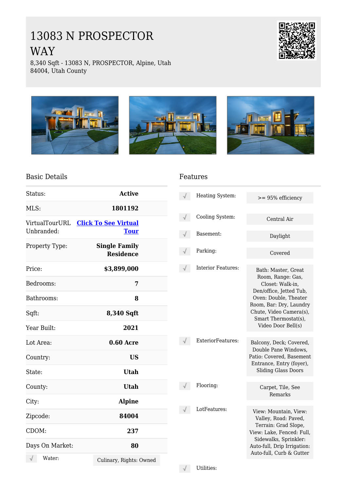# 13083 N PROSPECTOR WAY



8,340 Sqft - 13083 N, PROSPECTOR, Alpine, Utah 84004, Utah County



#### Basic Details

| Status:                      | <b>Active</b>                              |  |
|------------------------------|--------------------------------------------|--|
| MLS:                         | 1801192                                    |  |
| VirtualTourURL<br>Unbranded: | <b>Click To See Virtual</b><br><b>Tour</b> |  |
| Property Type:               | <b>Single Family</b><br><b>Residence</b>   |  |
| Price:                       | \$3,899,000                                |  |
| Bedrooms:                    | 7                                          |  |
| Bathrooms:                   | 8                                          |  |
| Sqft:                        | 8,340 Sqft                                 |  |
| Year Built:                  | 2021                                       |  |
| Lot Area:                    | <b>0.60 Acre</b>                           |  |
| Country:                     | <b>US</b>                                  |  |
| State:                       | <b>Utah</b>                                |  |
| County:                      | <b>Utah</b>                                |  |
| City:                        | <b>Alpine</b>                              |  |
| Zipcode:                     | 84004                                      |  |
| CDOM:                        | 237                                        |  |
| Days On Market:              | 80                                         |  |
| Water:                       | Culinary, Rights: Owned                    |  |

#### Features

| Heating System:           | $>= 95\%$ efficiency                                                                                                                                                                                                 |
|---------------------------|----------------------------------------------------------------------------------------------------------------------------------------------------------------------------------------------------------------------|
| Cooling System:           | Central Air                                                                                                                                                                                                          |
| Basement:                 | Daylight                                                                                                                                                                                                             |
| Parking:                  | Covered                                                                                                                                                                                                              |
| <b>Interior Features:</b> | Bath: Master, Great<br>Room, Range: Gas,<br>Closet: Walk-in,<br>Den/office, Jetted Tub,<br>Oven: Double, Theater<br>Room, Bar: Dry, Laundry<br>Chute, Video Camera(s),<br>Smart Thermostat(s),<br>Video Door Bell(s) |
| ExteriorFeatures:         | Balcony, Deck; Covered,<br>Double Pane Windows,<br>Patio: Covered, Basement<br>Entrance, Entry (foyer),<br><b>Sliding Glass Doors</b>                                                                                |
| Flooring:                 | Carpet, Tile, See<br>Remarks                                                                                                                                                                                         |
| LotFeatures:              | View: Mountain, View:<br>Valley, Road: Paved,<br>Terrain: Grad Slope,<br>View: Lake, Fenced: Full,<br>Sidewalks, Sprinkler:<br>Auto-full, Drip Irrigation:<br>Auto-full, Curb & Gutter                               |

 $\sqrt{\phantom{a}}$  Utilities: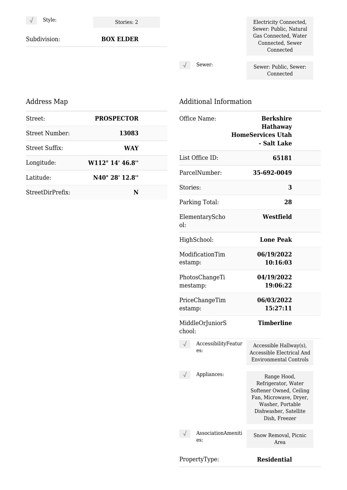Style: Stories: 2

Subdivision: **BOX ELDER**

Electricity Connected, Sewer: Public, Natural Gas Connected, Water Connected, Sewer Connected

 $\sqrt{}$ 

Sewer: Sewer: Public, Sewer: Connected

### Address Map

| Street:          | <b>PROSPECTOR</b>         |  |
|------------------|---------------------------|--|
| Street Number:   | 13083                     |  |
| Street Suffix:   | <b>WAY</b>                |  |
| Longitude:       | $W112^{\circ} 14' 46.8''$ |  |
| Latitude:        | N40° 28' 12.8"            |  |
| StreetDirPrefix: | N                         |  |

## Additional Information

| Office Name:                 | <b>Berkshire</b><br><b>Hathaway</b><br><b>HomeServices Utah</b><br>- Salt Lake                                                                        |
|------------------------------|-------------------------------------------------------------------------------------------------------------------------------------------------------|
| List Office ID:              | 65181                                                                                                                                                 |
| ParcelNumber:                | 35-692-0049                                                                                                                                           |
| Stories:                     | 3                                                                                                                                                     |
| Parking Total:               | 28                                                                                                                                                    |
| ElementaryScho<br>$\Omega$ : | Westfield                                                                                                                                             |
| HighSchool:                  | <b>Lone Peak</b>                                                                                                                                      |
| ModificationTim<br>estamp:   | 06/19/2022<br>10:16:03                                                                                                                                |
| PhotosChangeTi<br>mestamp:   | 04/19/2022<br>19:06:22                                                                                                                                |
| PriceChangeTim<br>estamp:    | 06/03/2022<br>15:27:11                                                                                                                                |
| MiddleOrJuniorS<br>chool:    | <b>Timberline</b>                                                                                                                                     |
| AccessibilityFeatur<br>es:   | Accessible Hallway(s),<br>Accessible Electrical And<br><b>Environmental Controls</b>                                                                  |
| $\sqrt{1}$<br>Appliances:    | Range Hood,<br>Refrigerator, Water<br>Softener Owned, Ceiling<br>Fan, Microwave, Dryer,<br>Washer, Portable<br>Dishwasher, Satellite<br>Dish, Freezer |
| AssociationAmeniti<br>es:    | Snow Removal, Picnic<br>Area                                                                                                                          |
| PropertyType:                | <b>Residential</b>                                                                                                                                    |